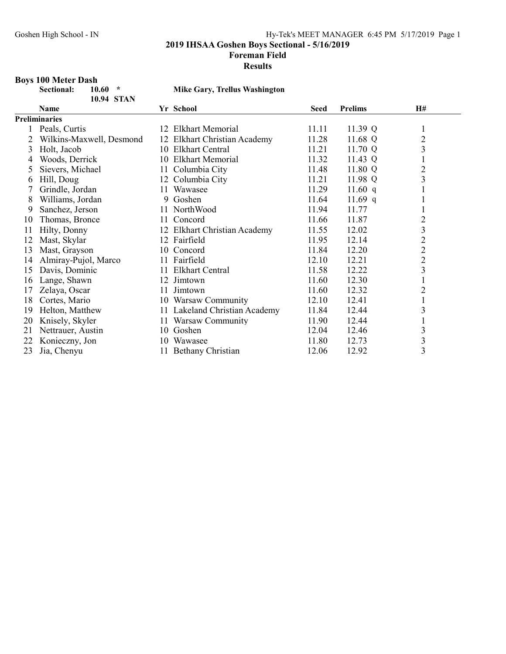Foreman Field

#### Results

# Boys 100 Meter Dash<br>Sectional: 10.60 \*

10.94 STAN

# Mike Gary, Trellus Washington

|    | <b>Name</b>              |    | Yr School                     | Seed  | <b>Prelims</b> | H#             |
|----|--------------------------|----|-------------------------------|-------|----------------|----------------|
|    | <b>Preliminaries</b>     |    |                               |       |                |                |
|    | Peals, Curtis            |    | 12 Elkhart Memorial           | 11.11 | 11.39 Q        | 1              |
| 2  | Wilkins-Maxwell, Desmond |    | 12 Elkhart Christian Academy  | 11.28 | 11.68 Q        | $\overline{c}$ |
| 3  | Holt, Jacob              |    | 10 Elkhart Central            | 11.21 | 11.70 Q        | 3              |
| 4  | Woods, Derrick           |    | 10 Elkhart Memorial           | 11.32 | 11.43 Q        | 1              |
| 5. | Sievers, Michael         |    | 11 Columbia City              | 11.48 | 11.80 Q        | $\overline{2}$ |
| 6  | Hill, Doug               |    | 12 Columbia City              | 11.21 | 11.98 Q        | 3              |
|    | Grindle, Jordan          |    | 11 Wawasee                    | 11.29 | 11.60 $q$      |                |
| 8  | Williams, Jordan         |    | 9 Goshen                      | 11.64 | 11.69 q        |                |
| 9  | Sanchez, Jerson          |    | 11 NorthWood                  | 11.94 | 11.77          |                |
| 10 | Thomas, Bronce           | 11 | Concord                       | 11.66 | 11.87          | $\overline{c}$ |
| 11 | Hilty, Donny             |    | 12 Elkhart Christian Academy  | 11.55 | 12.02          | 3              |
| 12 | Mast, Skylar             |    | 12 Fairfield                  | 11.95 | 12.14          | $\overline{2}$ |
| 13 | Mast, Grayson            |    | 10 Concord                    | 11.84 | 12.20          | $\overline{2}$ |
| 14 | Almiray-Pujol, Marco     | 11 | Fairfield                     | 12.10 | 12.21          | $\overline{c}$ |
| 15 | Davis, Dominic           | 11 | Elkhart Central               | 11.58 | 12.22          | 3              |
| 16 | Lange, Shawn             |    | 12 Jimtown                    | 11.60 | 12.30          |                |
| 17 | Zelaya, Oscar            | 11 | Jimtown                       | 11.60 | 12.32          | $\overline{2}$ |
| 18 | Cortes, Mario            |    | 10 Warsaw Community           | 12.10 | 12.41          | 1              |
| 19 | Helton, Matthew          |    | 11 Lakeland Christian Academy | 11.84 | 12.44          | 3              |
| 20 | Knisely, Skyler          |    | 11 Warsaw Community           | 11.90 | 12.44          |                |
| 21 | Nettrauer, Austin        |    | 10 Goshen                     | 12.04 | 12.46          | 3              |
| 22 | Konieczny, Jon           | 10 | Wawasee                       | 11.80 | 12.73          | 3              |
| 23 | Jia, Chenyu              | 11 | Bethany Christian             | 12.06 | 12.92          | 3              |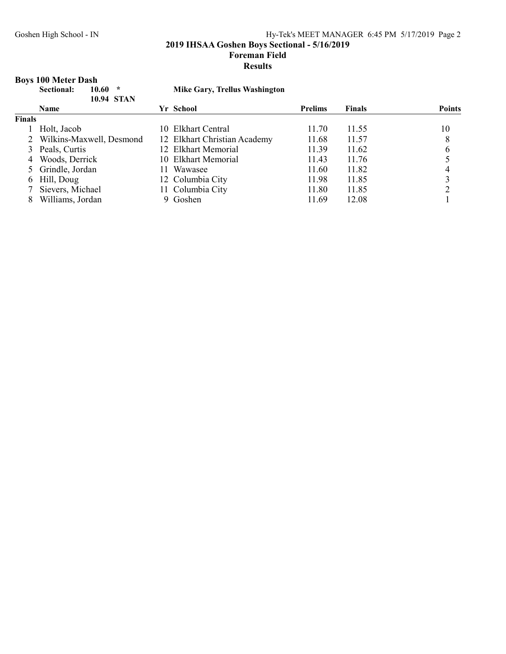2019 IHSAA Goshen Boys Sectional - 5/16/2019

Foreman Field

#### Results

# Boys 100 Meter Dash

|               | 10.60<br>$\star$<br>Sectional:<br><b>10.94 STAN</b> |     | <b>Mike Gary, Trellus Washington</b> |                |               |               |
|---------------|-----------------------------------------------------|-----|--------------------------------------|----------------|---------------|---------------|
|               | <b>Name</b>                                         |     | Yr School                            | <b>Prelims</b> | <b>Finals</b> | <b>Points</b> |
| <b>Finals</b> |                                                     |     |                                      |                |               |               |
|               | Holt, Jacob                                         |     | 10 Elkhart Central                   | 11.70          | 11.55         | 10            |
|               | 2 Wilkins-Maxwell, Desmond                          |     | 12 Elkhart Christian Academy         | 11.68          | 11.57         | 8             |
|               | 3 Peals, Curtis                                     |     | 12 Elkhart Memorial                  | 11.39          | 11.62         | 6             |
| 4             | Woods, Derrick                                      |     | 10 Elkhart Memorial                  | 11.43          | 11.76         |               |
|               | 5 Grindle, Jordan                                   | 11. | Wawasee                              | 11.60          | 11.82         | 4             |
| 6             | Hill, Doug                                          |     | 12 Columbia City                     | 11.98          | 11.85         |               |
|               | Sievers, Michael                                    |     | 11 Columbia City                     | 11.80          | 11.85         |               |
|               | Williams, Jordan                                    |     | 9 Goshen                             | 11.69          | 12.08         |               |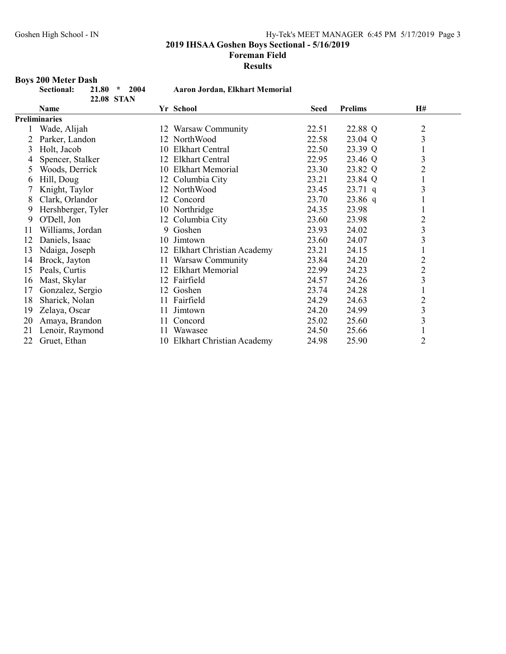Foreman Field

Results

# Boys 200 Meter Dash

|    | Sectional:<br>2004<br>21.80<br>$\star$<br>22.08 STAN |                    | <b>Aaron Jordan, Elkhart Memorial</b> |                |                         |
|----|------------------------------------------------------|--------------------|---------------------------------------|----------------|-------------------------|
|    | <b>Name</b>                                          | Yr School          | <b>Seed</b>                           | <b>Prelims</b> | H#                      |
|    | <b>Preliminaries</b>                                 |                    |                                       |                |                         |
|    | Wade, Alijah                                         |                    | 22.51<br>12 Warsaw Community          | 22.88 Q        |                         |
| 2  | Parker, Landon                                       | 12 NorthWood       | 22.58                                 | 23.04 Q        | $\frac{2}{3}$           |
| 3  | Holt, Jacob                                          | 10                 | <b>Elkhart Central</b><br>22.50       | 23.39 Q        | $\mathbf{1}$            |
| 4  | Spencer, Stalker                                     | 12 Elkhart Central | 22.95                                 | 23.46 Q        | 3                       |
| 5. | Woods, Derrick                                       |                    | 10 Elkhart Memorial<br>23.30          | 23.82 Q        | $\overline{2}$          |
| 6  | Hill, Doug                                           | 12 Columbia City   | 23.21                                 | 23.84 Q        | $\mathbf{1}$            |
|    | Knight, Taylor                                       | 12 NorthWood       | 23.45                                 | $23.71$ q      | 3                       |
| 8  | Clark, Orlandor                                      | Concord<br>12      | 23.70                                 | $23.86$ q      | $\mathbf{1}$            |
| 9  | Hershberger, Tyler                                   | 10 Northridge      | 24.35                                 | 23.98          |                         |
| 9  | O'Dell, Jon                                          | 12 Columbia City   | 23.60                                 | 23.98          | $\overline{2}$          |
| 11 | Williams, Jordan                                     | 9 Goshen           | 23.93                                 | 24.02          | $\overline{\mathbf{3}}$ |
| 12 | Daniels, Isaac                                       | 10 Jimtown         | 23.60                                 | 24.07          | $\overline{\mathbf{3}}$ |
| 13 | Ndaiga, Joseph                                       |                    | 12 Elkhart Christian Academy<br>23.21 | 24.15          |                         |
| 14 | Brock, Jayton                                        |                    | 11 Warsaw Community<br>23.84          | 24.20          | $\overline{2}$          |
| 15 | Peals, Curtis                                        |                    | 12 Elkhart Memorial<br>22.99          | 24.23          | $\overline{c}$          |
| 16 | Mast, Skylar                                         | 12 Fairfield       | 24.57                                 | 24.26          | $\overline{\mathbf{3}}$ |
| 17 | Gonzalez, Sergio                                     | Goshen<br>12       | 23.74                                 | 24.28          | $\mathbf{1}$            |
| 18 | Sharick, Nolan                                       | 11 Fairfield       | 24.29                                 | 24.63          | $\overline{c}$          |
| 19 | Zelaya, Oscar                                        | Jimtown<br>11      | 24.20                                 | 24.99          | $\overline{\mathbf{3}}$ |
| 20 | Amaya, Brandon                                       | Concord<br>11      | 25.02                                 | 25.60          | $\overline{\mathbf{3}}$ |
| 21 | Lenoir, Raymond                                      | Wawasee<br>11      | 24.50                                 | 25.66          |                         |
| 22 | Gruet, Ethan                                         |                    | 10 Elkhart Christian Academy<br>24.98 | 25.90          | $\overline{2}$          |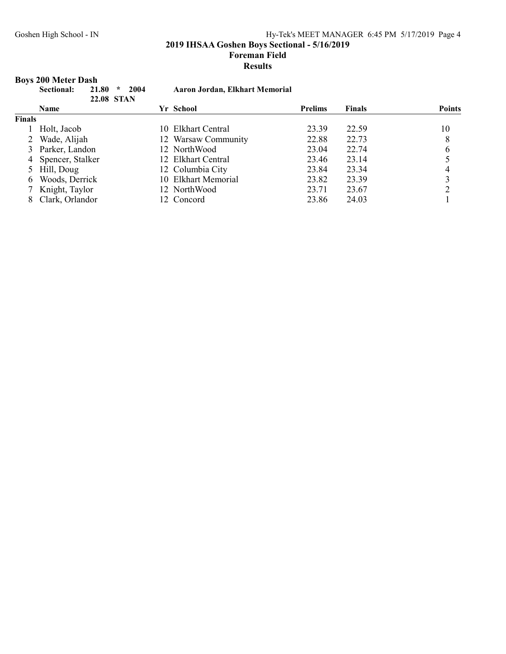2019 IHSAA Goshen Boys Sectional - 5/16/2019

Foreman Field

#### Results

# Boys 200 Meter Dash

|        | 2004<br>21.80<br><b>Sectional:</b><br>$\star$<br><b>22.08 STAN</b> | <b>Aaron Jordan, Elkhart Memorial</b> |                |               |               |
|--------|--------------------------------------------------------------------|---------------------------------------|----------------|---------------|---------------|
|        | <b>Name</b>                                                        | Yr School                             | <b>Prelims</b> | <b>Finals</b> | <b>Points</b> |
| Finals |                                                                    |                                       |                |               |               |
|        | Holt, Jacob                                                        | 10 Elkhart Central                    | 23.39          | 22.59         | 10            |
|        | 2 Wade, Alijah                                                     | 12 Warsaw Community                   | 22.88          | 22.73         | 8             |
|        | 3 Parker, Landon                                                   | 12 NorthWood                          | 23.04          | 22.74         | 6             |
|        | 4 Spencer, Stalker                                                 | 12 Elkhart Central                    | 23.46          | 23.14         |               |
|        | 5 Hill, Doug                                                       | 12 Columbia City                      | 23.84          | 23.34         | 4             |
|        | 6 Woods, Derrick                                                   | 10 Elkhart Memorial                   | 23.82          | 23.39         |               |
|        | 7 Knight, Taylor                                                   | 12 NorthWood                          | 23.71          | 23.67         |               |
|        | Clark, Orlandor                                                    | 12 Concord                            | 23.86          | 24.03         |               |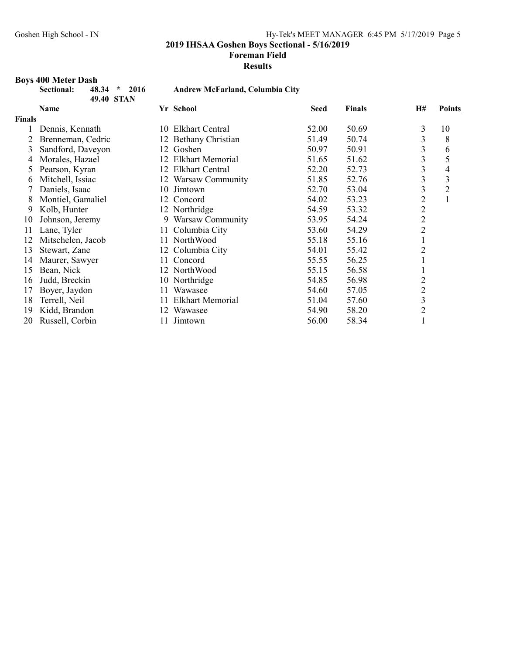Foreman Field

Results

#### Boys 400 Meter Dash

|               | Sectional:        | 48.34 | 2016<br>$\star$<br>49.40 STAN |     | <b>Andrew McFarland, Columbia City</b> |       |               |                |                |
|---------------|-------------------|-------|-------------------------------|-----|----------------------------------------|-------|---------------|----------------|----------------|
|               | Name              |       |                               |     | Yr School                              | Seed  | <b>Finals</b> | <b>H#</b>      | <b>Points</b>  |
| <b>Finals</b> |                   |       |                               |     |                                        |       |               |                |                |
|               | Dennis, Kennath   |       |                               | 10. | Elkhart Central                        | 52.00 | 50.69         | 3              | 10             |
| 2             | Brenneman, Cedric |       |                               | 12  | Bethany Christian                      | 51.49 | 50.74         | 3              | 8              |
| 3             | Sandford, Daveyon |       |                               | 12  | Goshen                                 | 50.97 | 50.91         | 3              | 6              |
| 4             | Morales, Hazael   |       |                               | 12  | <b>Elkhart Memorial</b>                | 51.65 | 51.62         | 3              | 5              |
| 5.            | Pearson, Kyran    |       |                               | 12  | <b>Elkhart Central</b>                 | 52.20 | 52.73         | 3              | 4              |
| 6             | Mitchell, Issiac  |       |                               |     | 12 Warsaw Community                    | 51.85 | 52.76         | 3              | 3              |
|               | Daniels, Isaac    |       |                               | 10  | Jimtown                                | 52.70 | 53.04         | 3              | $\overline{c}$ |
| 8             | Montiel, Gamaliel |       |                               | 12  | Concord                                | 54.02 | 53.23         | $\overline{2}$ | $\mathbf{1}$   |
| 9             | Kolb, Hunter      |       |                               |     | 12 Northridge                          | 54.59 | 53.32         | $\overline{2}$ |                |
| 10            | Johnson, Jeremy   |       |                               |     | 9 Warsaw Community                     | 53.95 | 54.24         | $\overline{c}$ |                |
| 11            | Lane, Tyler       |       |                               | 11. | Columbia City                          | 53.60 | 54.29         | $\overline{2}$ |                |
| 12            | Mitschelen, Jacob |       |                               | 11  | NorthWood                              | 55.18 | 55.16         | $\mathbf{1}$   |                |
| 13            | Stewart, Zane     |       |                               | 12  | Columbia City                          | 54.01 | 55.42         | $\overline{c}$ |                |
| 14            | Maurer, Sawyer    |       |                               | 11  | Concord                                | 55.55 | 56.25         | 1              |                |
| 15            | Bean, Nick        |       |                               |     | 12 NorthWood                           | 55.15 | 56.58         |                |                |
| 16            | Judd, Breckin     |       |                               |     | 10 Northridge                          | 54.85 | 56.98         | $\overline{c}$ |                |
| 17            | Boyer, Jaydon     |       |                               | 11  | Wawasee                                | 54.60 | 57.05         | $\overline{c}$ |                |
| 18            | Terrell, Neil     |       |                               | 11  | <b>Elkhart Memorial</b>                | 51.04 | 57.60         | $\overline{3}$ |                |
| 19            | Kidd, Brandon     |       |                               | 12  | Wawasee                                | 54.90 | 58.20         | $\overline{2}$ |                |
| 20            | Russell, Corbin   |       |                               | 11  | Jimtown                                | 56.00 | 58.34         | $\mathbf{1}$   |                |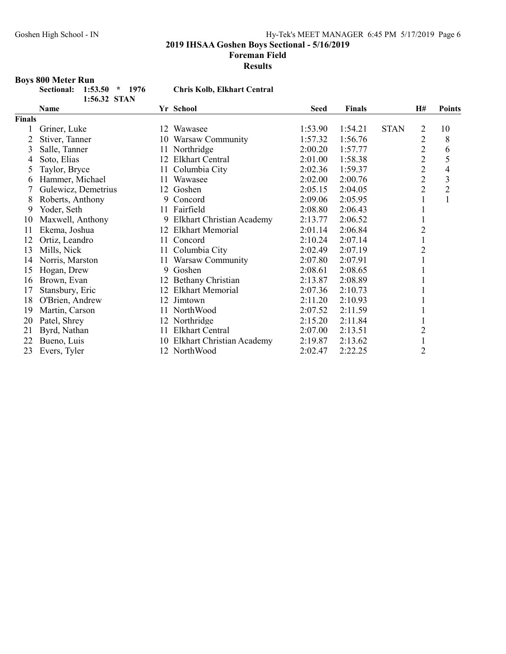Foreman Field

Results

# Boys 800 Meter Run

| Sectional: 1:53.50 * 1976 |              |  |
|---------------------------|--------------|--|
|                           | 1:56.32 STAN |  |

# Chris Kolb, Elkhart Central

|               | Name                |              | Yr School                        | <b>Seed</b> | <b>Finals</b> |             | H#             | <b>Points</b>            |
|---------------|---------------------|--------------|----------------------------------|-------------|---------------|-------------|----------------|--------------------------|
| <b>Finals</b> |                     |              |                                  |             |               |             |                |                          |
|               | Griner, Luke        |              | 12 Wawasee                       | 1:53.90     | 1:54.21       | <b>STAN</b> | 2              | 10                       |
| 2             | Stiver, Tanner      | 10           | Warsaw Community                 | 1:57.32     | 1:56.76       |             | $\overline{2}$ | 8                        |
| 3             | Salle, Tanner       | 11           | Northridge                       | 2:00.20     | 1:57.77       |             | $\overline{c}$ | 6                        |
| 4             | Soto, Elias         | 12           | <b>Elkhart Central</b>           | 2:01.00     | 1:58.38       |             | $\overline{2}$ | 5                        |
| 5             | Taylor, Bryce       | 11           | Columbia City                    | 2:02.36     | 1:59.37       |             | $\overline{c}$ | $\overline{\mathcal{A}}$ |
| 6             | Hammer, Michael     | 11           | Wawasee                          | 2:02.00     | 2:00.76       |             | $\overline{2}$ | $\overline{\mathbf{3}}$  |
|               | Gulewicz, Demetrius |              | 12 Goshen                        | 2:05.15     | 2:04.05       |             | $\overline{2}$ | $\overline{2}$           |
| 8             | Roberts, Anthony    | 9            | Concord                          | 2:09.06     | 2:05.95       |             | $\mathbf{1}$   | $\mathbf{1}$             |
| 9             | Yoder, Seth         |              | 11 Fairfield                     | 2:08.80     | 2:06.43       |             |                |                          |
| 10            | Maxwell, Anthony    | 9            | Elkhart Christian Academy        | 2:13.77     | 2:06.52       |             | 1              |                          |
| 11            | Ekema, Joshua       | 12           | <b>Elkhart Memorial</b>          | 2:01.14     | 2:06.84       |             | $\overline{2}$ |                          |
| 12            | Ortiz, Leandro      | 11           | Concord                          | 2:10.24     | 2:07.14       |             | $\mathbf{1}$   |                          |
| 13            | Mills, Nick         |              | 11 Columbia City                 | 2:02.49     | 2:07.19       |             | $\overline{2}$ |                          |
| 14            | Norris, Marston     | 11           | Warsaw Community                 | 2:07.80     | 2:07.91       |             |                |                          |
| 15            | Hogan, Drew         | 9            | Goshen                           | 2:08.61     | 2:08.65       |             |                |                          |
| 16            | Brown, Evan         |              | 12 Bethany Christian             | 2:13.87     | 2:08.89       |             |                |                          |
| 17            | Stansbury, Eric     | 12           | <b>Elkhart Memorial</b>          | 2:07.36     | 2:10.73       |             |                |                          |
| 18            | O'Brien, Andrew     |              | 12 Jimtown                       | 2:11.20     | 2:10.93       |             |                |                          |
| 19            | Martin, Carson      |              | 11 NorthWood                     | 2:07.52     | 2:11.59       |             |                |                          |
| 20            | Patel, Shrey        |              | 12 Northridge                    | 2:15.20     | 2:11.84       |             |                |                          |
| 21            | Byrd, Nathan        | 11           | <b>Elkhart Central</b>           | 2:07.00     | 2:13.51       |             | $\overline{2}$ |                          |
| 22            | Bueno, Luis         | $10^{\circ}$ | <b>Elkhart Christian Academy</b> | 2:19.87     | 2:13.62       |             |                |                          |
| 23            | Evers, Tyler        |              | 12 NorthWood                     | 2:02.47     | 2:22.25       |             | $\overline{2}$ |                          |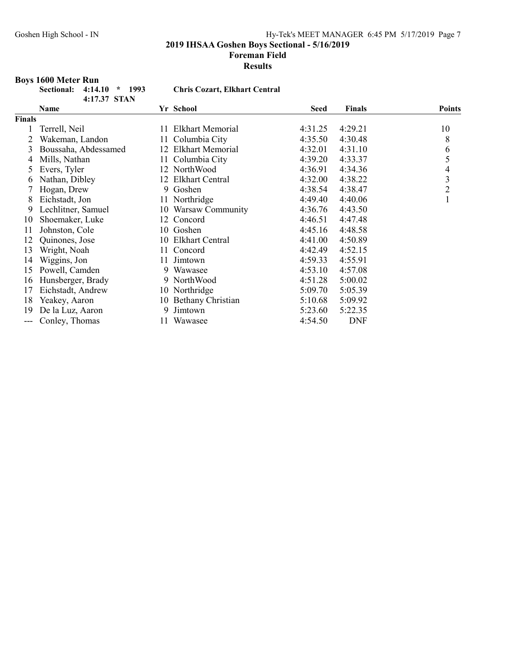Foreman Field

Results

### Boys 1600 Meter Run

| Sectional: 4:14.10 * 1993 |              |  |
|---------------------------|--------------|--|
|                           | 4:17.37 STAN |  |

# Chris Cozart, Elkhart Central

|        | Name                 |    | Yr School            | <b>Seed</b> | <b>Finals</b> | <b>Points</b>  |
|--------|----------------------|----|----------------------|-------------|---------------|----------------|
| Finals |                      |    |                      |             |               |                |
|        | Terrell, Neil        |    | 11 Elkhart Memorial  | 4:31.25     | 4:29.21       | 10             |
|        | Wakeman, Landon      | 11 | Columbia City        | 4:35.50     | 4:30.48       | 8              |
| 3      | Boussaha, Abdessamed |    | 12 Elkhart Memorial  | 4:32.01     | 4:31.10       | 6              |
| 4      | Mills, Nathan        |    | 11 Columbia City     | 4:39.20     | 4:33.37       | 5              |
| 5      | Evers, Tyler         | 12 | NorthWood            | 4:36.91     | 4:34.36       | 4              |
| 6      | Nathan, Dibley       | 12 | Elkhart Central      | 4:32.00     | 4:38.22       | 3              |
|        | Hogan, Drew          | 9. | Goshen               | 4:38.54     | 4:38.47       | $\overline{2}$ |
| 8      | Eichstadt, Jon       |    | 11 Northridge        | 4:49.40     | 4:40.06       |                |
| 9      | Lechlitner, Samuel   |    | 10 Warsaw Community  | 4:36.76     | 4:43.50       |                |
| 10     | Shoemaker, Luke      |    | 12 Concord           | 4:46.51     | 4:47.48       |                |
| 11     | Johnston, Cole       |    | 10 Goshen            | 4:45.16     | 4:48.58       |                |
| 12     | Quinones, Jose       |    | 10 Elkhart Central   | 4:41.00     | 4:50.89       |                |
| 13     | Wright, Noah         |    | 11 Concord           | 4:42.49     | 4:52.15       |                |
| 14     | Wiggins, Jon         | 11 | Jimtown              | 4:59.33     | 4:55.91       |                |
| 15     | Powell, Camden       | 9  | Wawasee              | 4:53.10     | 4:57.08       |                |
| 16     | Hunsberger, Brady    |    | 9 NorthWood          | 4:51.28     | 5:00.02       |                |
| 17     | Eichstadt, Andrew    |    | 10 Northridge        | 5:09.70     | 5:05.39       |                |
| 18     | Yeakey, Aaron        |    | 10 Bethany Christian | 5:10.68     | 5:09.92       |                |
| 19     | De la Luz, Aaron     | 9  | Jimtown              | 5:23.60     | 5:22.35       |                |
|        | Conley, Thomas       | 11 | Wawasee              | 4:54.50     | <b>DNF</b>    |                |
|        |                      |    |                      |             |               |                |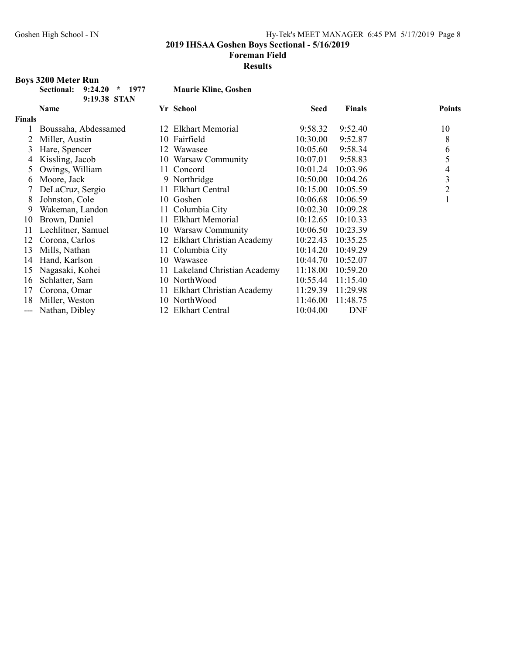2019 IHSAA Goshen Boys Sectional - 5/16/2019

#### Foreman Field

Results

### Boys 3200 Meter Run

| Sectional: 9:24.20 * 1977 |              | <b>Maurie Kline, Goshen</b> |
|---------------------------|--------------|-----------------------------|
|                           | 9:19.38 STAN |                             |

|               | 9:19.38 STAN         |     |                                  |             |               |                |
|---------------|----------------------|-----|----------------------------------|-------------|---------------|----------------|
|               | Name                 |     | Yr School                        | <b>Seed</b> | <b>Finals</b> | <b>Points</b>  |
| <b>Finals</b> |                      |     |                                  |             |               |                |
|               | Boussaha, Abdessamed | 12  | <b>Elkhart Memorial</b>          | 9:58.32     | 9:52.40       | 10             |
|               | Miller, Austin       |     | 10 Fairfield                     | 10:30.00    | 9:52.87       | 8              |
| 3             | Hare, Spencer        | 12  | Wawasee                          | 10:05.60    | 9:58.34       | 6              |
| 4             | Kissling, Jacob      | 10  | Warsaw Community                 | 10:07.01    | 9:58.83       | 5              |
|               | Owings, William      | 11  | Concord                          | 10:01.24    | 10:03.96      | 4              |
| 6             | Moore, Jack          |     | 9 Northridge                     | 10:50.00    | 10:04.26      | 3              |
|               | DeLaCruz, Sergio     | 11. | Elkhart Central                  | 10:15.00    | 10:05.59      | $\overline{2}$ |
| 8             | Johnston, Cole       |     | 10 Goshen                        | 10:06.68    | 10:06.59      |                |
| 9             | Wakeman, Landon      | 11  | Columbia City                    | 10:02.30    | 10:09.28      |                |
| 10            | Brown, Daniel        | 11  | <b>Elkhart Memorial</b>          | 10:12.65    | 10:10.33      |                |
| 11            | Lechlitner, Samuel   |     | 10 Warsaw Community              | 10:06.50    | 10:23.39      |                |
| 12            | Corona, Carlos       | 12  | Elkhart Christian Academy        | 10:22.43    | 10:35.25      |                |
| 13            | Mills, Nathan        |     | 11 Columbia City                 | 10:14.20    | 10:49.29      |                |
| 14            | Hand, Karlson        | 10- | Wawasee                          | 10:44.70    | 10:52.07      |                |
| 15            | Nagasaki, Kohei      |     | 11 Lakeland Christian Academy    | 11:18.00    | 10:59.20      |                |
| 16            | Schlatter, Sam       |     | 10 NorthWood                     | 10:55.44    | 11:15.40      |                |
| 17            | Corona, Omar         | 11  | <b>Elkhart Christian Academy</b> | 11:29.39    | 11:29.98      |                |
| 18            | Miller, Weston       |     | 10 NorthWood                     | 11:46.00    | 11:48.75      |                |
| ---           | Nathan, Dibley       | 12  | Elkhart Central                  | 10:04.00    | <b>DNF</b>    |                |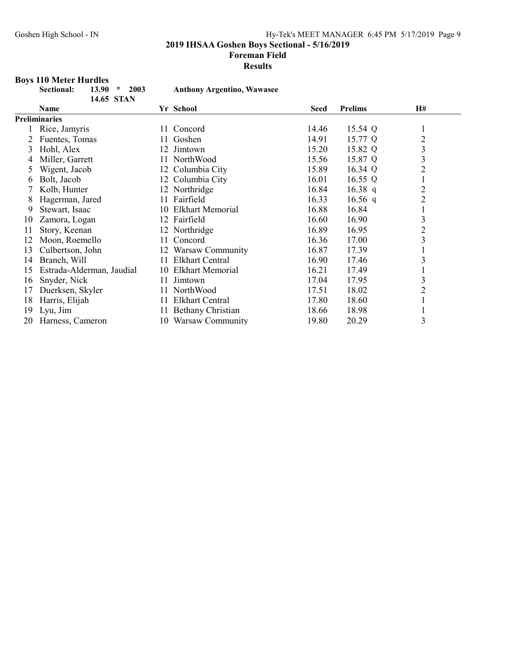#### Foreman Field

#### Results

# Boys 110 Meter Hurdles

|    | Sectional:<br>2003<br>13.90<br>$\star$<br>14.65 STAN |     | <b>Anthony Argentino, Wawasee</b> |       |                |                         |
|----|------------------------------------------------------|-----|-----------------------------------|-------|----------------|-------------------------|
|    | Name                                                 |     | Yr School                         | Seed  | <b>Prelims</b> | <b>H#</b>               |
|    | <b>Preliminaries</b>                                 |     |                                   |       |                |                         |
|    | Rice, Jamyris                                        | 11. | Concord                           | 14.46 | 15.54 Q        | $\perp$                 |
|    | Fuentes, Tomas                                       | 11. | Goshen                            | 14.91 | 15.77 Q        | $\overline{2}$          |
| 3  | Hohl, Alex                                           |     | 12 Jimtown                        | 15.20 | 15.82 Q        | 3                       |
| 4  | Miller, Garrett                                      | 11. | NorthWood                         | 15.56 | 15.87 Q        | 3                       |
| 5  | Wigent, Jacob                                        |     | 12 Columbia City                  | 15.89 | 16.34 Q        | $\overline{2}$          |
| 6  | Bolt, Jacob                                          |     | 12 Columbia City                  | 16.01 | 16.55 $Q$      | $\mathbf{1}$            |
|    | Kolb, Hunter                                         |     | 12 Northridge                     | 16.84 | 16.38 $q$      | $\overline{c}$          |
| 8  | Hagerman, Jared                                      |     | 11 Fairfield                      | 16.33 | 16.56 q        | $\overline{c}$          |
| 9  | Stewart, Isaac                                       | 10  | <b>Elkhart Memorial</b>           | 16.88 | 16.84          | $\mathbf{1}$            |
| 10 | Zamora, Logan                                        |     | 12 Fairfield                      | 16.60 | 16.90          | $\mathfrak{Z}$          |
| 11 | Story, Keenan                                        |     | 12 Northridge                     | 16.89 | 16.95          | $\overline{c}$          |
| 12 | Moon, Roemello                                       | 11  | Concord                           | 16.36 | 17.00          | $\overline{\mathbf{3}}$ |
| 13 | Culbertson, John                                     |     | 12 Warsaw Community               | 16.87 | 17.39          | $\mathbf{1}$            |
| 14 | Branch, Will                                         |     | 11 Elkhart Central                | 16.90 | 17.46          | 3                       |
| 15 | Estrada-Alderman, Jaudial                            |     | 10 Elkhart Memorial               | 16.21 | 17.49          | $\mathbf{1}$            |
| 16 | Snyder, Nick                                         | 11  | Jimtown                           | 17.04 | 17.95          | 3                       |
| 17 | Duerksen, Skyler                                     | 11  | NorthWood                         | 17.51 | 18.02          | $\overline{c}$          |
| 18 | Harris, Elijah                                       | 11  | <b>Elkhart Central</b>            | 17.80 | 18.60          | $\mathbf{1}$            |
| 19 | Lyu, Jim                                             | 11  | <b>Bethany Christian</b>          | 18.66 | 18.98          | $\perp$                 |
| 20 | Harness, Cameron                                     | 10  | Warsaw Community                  | 19.80 | 20.29          | 3                       |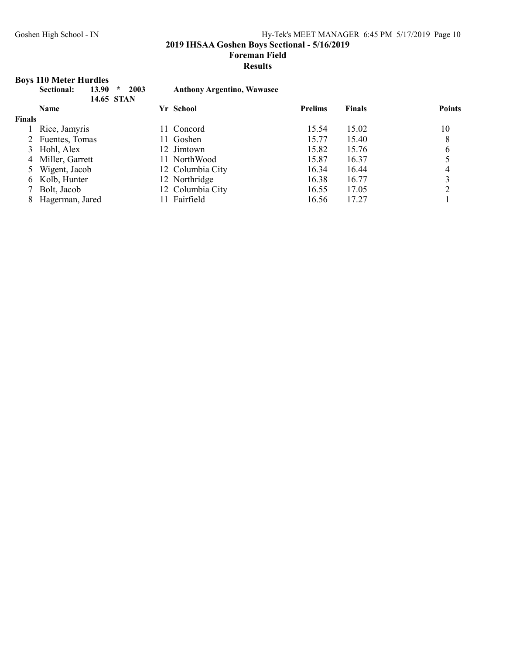2019 IHSAA Goshen Boys Sectional - 5/16/2019

Foreman Field

#### Results

# Boys 110 Meter Hurdles

|        | 13.90<br>Sectional:<br>$\star$<br>14.65 STAN | 2003<br><b>Anthony Argentino, Wawasee</b> |                |               |               |
|--------|----------------------------------------------|-------------------------------------------|----------------|---------------|---------------|
|        | <b>Name</b>                                  | Yr School                                 | <b>Prelims</b> | <b>Finals</b> | <b>Points</b> |
| Finals |                                              |                                           |                |               |               |
|        | 1 Rice, Jamyris                              | 11 Concord                                | 15.54          | 15.02         | 10            |
|        | 2 Fuentes, Tomas                             | 11 Goshen                                 | 15.77          | 15.40         | 8             |
|        | 3 Hohl, Alex                                 | 12 Jimtown                                | 15.82          | 15.76         | 6             |
|        | 4 Miller, Garrett                            | 11 NorthWood                              | 15.87          | 16.37         |               |
|        | 5 Wigent, Jacob                              | 12 Columbia City                          | 16.34          | 16.44         | 4             |
|        | 6 Kolb, Hunter                               | 12 Northridge                             | 16.38          | 16.77         |               |
|        | 7 Bolt, Jacob                                | 12 Columbia City                          | 16.55          | 17.05         |               |
|        | Hagerman, Jared                              | Fairfield                                 | 16.56          | 17.27         |               |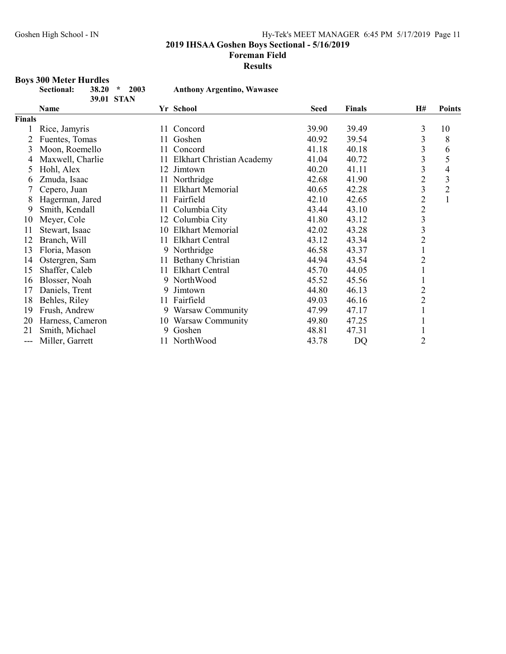Foreman Field

Results

# Boys 300 Meter Hurdles

|               | Sectional:<br>2003<br>38.20<br>$\star$<br>39.01 STAN |     | <b>Anthony Argentino, Wawasee</b> |             |               |                         |                |
|---------------|------------------------------------------------------|-----|-----------------------------------|-------------|---------------|-------------------------|----------------|
|               | Name                                                 |     | Yr School                         | <b>Seed</b> | <b>Finals</b> | H#                      | <b>Points</b>  |
| <b>Finals</b> |                                                      |     |                                   |             |               |                         |                |
|               | Rice, Jamyris                                        | 11  | Concord                           | 39.90       | 39.49         | 3                       | 10             |
| 2             | Fuentes, Tomas                                       | 11  | Goshen                            | 40.92       | 39.54         | 3                       | 8              |
| 3             | Moon, Roemello                                       | 11  | Concord                           | 41.18       | 40.18         | 3                       | 6              |
| 4             | Maxwell, Charlie                                     | 11  | <b>Elkhart Christian Academy</b>  | 41.04       | 40.72         | $\overline{\mathbf{3}}$ | 5              |
| 5             | Hohl, Alex                                           | 12  | Jimtown                           | 40.20       | 41.11         | 3                       | 4              |
| 6             | Zmuda, Isaac                                         |     | 11 Northridge                     | 42.68       | 41.90         | $\overline{c}$          | 3              |
|               | Cepero, Juan                                         | 11  | <b>Elkhart Memorial</b>           | 40.65       | 42.28         | 3                       | $\overline{2}$ |
| 8             | Hagerman, Jared                                      | 11. | Fairfield                         | 42.10       | 42.65         | $\overline{c}$          | $\mathbf{1}$   |
| 9             | Smith, Kendall                                       | 11  | Columbia City                     | 43.44       | 43.10         |                         |                |
| 10            | Meyer, Cole                                          | 12  | Columbia City                     | 41.80       | 43.12         | $\frac{2}{3}$           |                |
| 11            | Stewart, Isaac                                       | 10  | <b>Elkhart Memorial</b>           | 42.02       | 43.28         | 3                       |                |
| 12            | Branch, Will                                         | 11. | <b>Elkhart Central</b>            | 43.12       | 43.34         | $\overline{2}$          |                |
| 13            | Floria, Mason                                        |     | 9 Northridge                      | 46.58       | 43.37         | $\mathbf{1}$            |                |
| 14            | Ostergren, Sam                                       | 11  | Bethany Christian                 | 44.94       | 43.54         | $\overline{c}$          |                |
| 15            | Shaffer, Caleb                                       | 11  | <b>Elkhart Central</b>            | 45.70       | 44.05         | $\mathbf{1}$            |                |
| 16            | Blosser, Noah                                        |     | 9 NorthWood                       | 45.52       | 45.56         | $\mathbf{1}$            |                |
| 17            | Daniels, Trent                                       | 9   | Jimtown                           | 44.80       | 46.13         | $\overline{c}$          |                |
| 18            | Behles, Riley                                        |     | 11 Fairfield                      | 49.03       | 46.16         | $\overline{2}$          |                |
| 19            | Frush, Andrew                                        |     | 9 Warsaw Community                | 47.99       | 47.17         | 1                       |                |
| 20            | Harness, Cameron                                     |     | 10 Warsaw Community               | 49.80       | 47.25         |                         |                |
| 21            | Smith, Michael                                       | 9   | Goshen                            | 48.81       | 47.31         | $\mathbf{1}$            |                |
| ---           | Miller, Garrett                                      |     | 11 NorthWood                      | 43.78       | DQ            | $\overline{2}$          |                |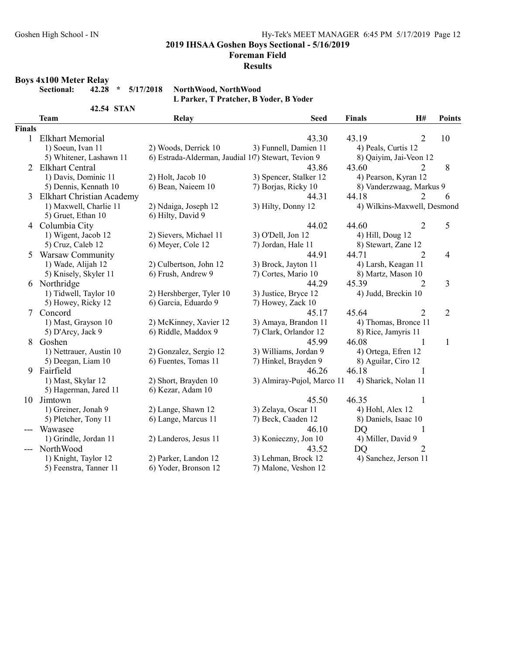Foreman Field

#### Results

#### Boys 4x100 Meter Relay

Sectional: 42.28 \* 5/17/2018 NorthWood, NorthWood L Parker, T Pratcher, B Yoder, B Yoder

|               | <b>42.54 STAN</b>                |                                                     |                            |                             |                |                |
|---------------|----------------------------------|-----------------------------------------------------|----------------------------|-----------------------------|----------------|----------------|
|               | <b>Team</b>                      | Relay                                               | <b>Seed</b>                | <b>Finals</b>               | H#             | <b>Points</b>  |
| <b>Finals</b> |                                  |                                                     |                            |                             |                |                |
|               | 1 Elkhart Memorial               |                                                     | 43.30                      | 43.19                       | 2              | 10             |
|               | 1) Soeun, Ivan 11                | 2) Woods, Derrick 10                                | 3) Funnell, Damien 11      | 4) Peals, Curtis 12         |                |                |
|               | 5) Whitener, Lashawn 11          | 6) Estrada-Alderman, Jaudial 107) Stewart, Tevion 9 |                            | 8) Qaiyim, Jai-Veon 12      |                |                |
| 2             | <b>Elkhart Central</b>           |                                                     | 43.86                      | 43.60                       | 2              | 8              |
|               | 1) Davis, Dominic 11             | 2) Holt, Jacob 10                                   | 3) Spencer, Stalker 12     | 4) Pearson, Kyran 12        |                |                |
|               | 5) Dennis, Kennath 10            | 6) Bean, Naieem 10                                  | 7) Borjas, Ricky 10        | 8) Vanderzwaag, Markus 9    |                |                |
| 3.            | <b>Elkhart Christian Academy</b> |                                                     | 44.31                      | 44.18                       | $\mathcal{D}$  | 6              |
|               | 1) Maxwell, Charlie 11           | 2) Ndaiga, Joseph 12                                | 3) Hilty, Donny 12         | 4) Wilkins-Maxwell, Desmond |                |                |
|               | 5) Gruet, Ethan 10               | 6) Hilty, David 9                                   |                            |                             |                |                |
|               | 4 Columbia City                  |                                                     | 44.02                      | 44.60                       | 2              | 5              |
|               | 1) Wigent, Jacob 12              | 2) Sievers, Michael 11                              | 3) O'Dell, Jon 12          | 4) Hill, Doug 12            |                |                |
|               | 5) Cruz, Caleb 12                | 6) Meyer, Cole 12                                   | 7) Jordan, Hale 11         | 8) Stewart, Zane 12         |                |                |
| 5             | Warsaw Community                 |                                                     | 44.91                      | 44.71                       | $\overline{2}$ | 4              |
|               | 1) Wade, Alijah 12               | 2) Culbertson, John 12                              | 3) Brock, Jayton 11        | 4) Larsh, Keagan 11         |                |                |
|               | 5) Knisely, Skyler 11            | 6) Frush, Andrew 9                                  | 7) Cortes, Mario 10        | 8) Martz, Mason 10          |                |                |
|               | 6 Northridge                     |                                                     | 44.29                      | 45.39                       | 2              | 3              |
|               | 1) Tidwell, Taylor 10            | 2) Hershberger, Tyler 10                            | 3) Justice, Bryce 12       | 4) Judd, Breckin 10         |                |                |
|               | 5) Howey, Ricky 12               | 6) Garcia, Eduardo 9                                | 7) Howey, Zack 10          |                             |                |                |
|               | 7 Concord                        |                                                     | 45.17                      | 45.64                       | 2              | $\overline{2}$ |
|               | 1) Mast, Grayson 10              | 2) McKinney, Xavier 12                              | 3) Amaya, Brandon 11       | 4) Thomas, Bronce 11        |                |                |
|               | 5) D'Arcy, Jack 9                | 6) Riddle, Maddox 9                                 | 7) Clark, Orlandor 12      | 8) Rice, Jamyris 11         |                |                |
| 8             | Goshen                           |                                                     | 45.99                      | 46.08                       | 1              | 1              |
|               | 1) Nettrauer, Austin 10          | 2) Gonzalez, Sergio 12                              | 3) Williams, Jordan 9      | 4) Ortega, Efren 12         |                |                |
|               | 5) Deegan, Liam 10               | 6) Fuentes, Tomas 11                                | 7) Hinkel, Brayden 9       | 8) Aguilar, Ciro 12         |                |                |
| 9             | Fairfield                        |                                                     | 46.26                      | 46.18                       |                |                |
|               | 1) Mast, Skylar 12               | 2) Short, Brayden 10                                | 3) Almiray-Pujol, Marco 11 | 4) Sharick, Nolan 11        |                |                |
|               | 5) Hagerman, Jared 11            | 6) Kezar, Adam 10                                   |                            |                             |                |                |
|               | 10 Jimtown                       |                                                     | 45.50                      | 46.35                       | 1              |                |
|               | 1) Greiner, Jonah 9              | 2) Lange, Shawn 12                                  | 3) Zelaya, Oscar 11        | 4) Hohl, Alex 12            |                |                |
|               | 5) Pletcher, Tony 11             | 6) Lange, Marcus 11                                 | 7) Beck, Caaden 12         | 8) Daniels, Isaac 10        |                |                |
|               | Wawasee                          |                                                     | 46.10                      | <b>DQ</b>                   | 1              |                |
|               | 1) Grindle, Jordan 11            | 2) Landeros, Jesus 11                               | 3) Konieczny, Jon 10       | 4) Miller, David 9          |                |                |
|               | NorthWood                        |                                                     | 43.52                      | <b>DQ</b>                   | 2              |                |
|               | 1) Knight, Taylor 12             | 2) Parker, Landon 12                                | 3) Lehman, Brock 12        | 4) Sanchez, Jerson 11       |                |                |
|               | 5) Feenstra, Tanner 11           | 6) Yoder, Bronson 12                                | 7) Malone, Veshon 12       |                             |                |                |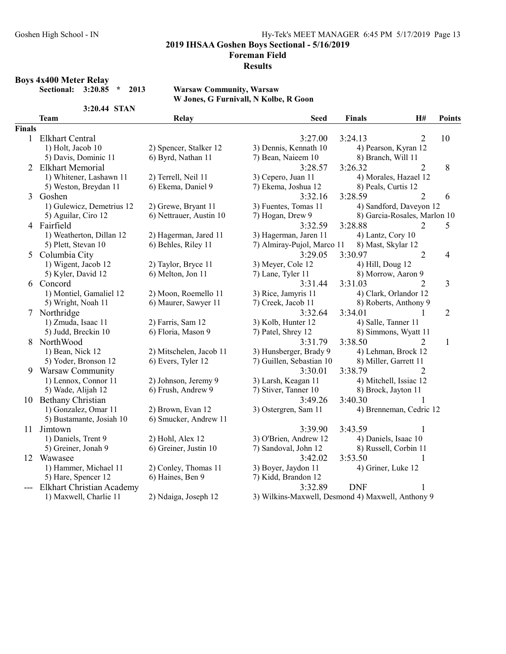#### Foreman Field

#### Results

Boys 4x400 Meter Relay<br>Sectional: 3:20.85 \* 2013

3:20.44 STAN

Warsaw Community, Warsaw W Jones, G Furnivall, N Kolbe, R Goon

|               | <b>Team</b>               | Relay                   | <b>Seed</b>                                       | <b>Finals</b>          | H#                           | <b>Points</b>  |
|---------------|---------------------------|-------------------------|---------------------------------------------------|------------------------|------------------------------|----------------|
| <b>Finals</b> |                           |                         |                                                   |                        |                              |                |
|               | 1 Elkhart Central         |                         | 3:27.00                                           | 3:24.13                | $\overline{2}$               | 10             |
|               | 1) Holt, Jacob 10         | 2) Spencer, Stalker 12  | 3) Dennis, Kennath 10                             | 4) Pearson, Kyran 12   |                              |                |
|               | 5) Davis, Dominic 11      | 6) Byrd, Nathan 11      | 7) Bean, Naieem 10                                | 8) Branch, Will 11     |                              |                |
|               | 2 Elkhart Memorial        |                         | 3:28.57                                           | 3:26.32                | 2                            | 8              |
|               | 1) Whitener, Lashawn 11   | 2) Terrell, Neil 11     | 3) Cepero, Juan 11                                |                        | 4) Morales, Hazael 12        |                |
|               | 5) Weston, Breydan 11     | 6) Ekema, Daniel 9      | 7) Ekema, Joshua 12                               | 8) Peals, Curtis 12    |                              |                |
| 3             | Goshen                    |                         | 3:32.16                                           | 3:28.59                | $\overline{2}$               | 6              |
|               | 1) Gulewicz, Demetrius 12 | 2) Grewe, Bryant 11     | 3) Fuentes, Tomas 11                              |                        | 4) Sandford, Daveyon 12      |                |
|               | 5) Aguilar, Ciro 12       | 6) Nettrauer, Austin 10 | 7) Hogan, Drew 9                                  |                        | 8) Garcia-Rosales, Marlon 10 |                |
|               | 4 Fairfield               |                         | 3:32.59                                           | 3:28.88                | 2                            | 5              |
|               | 1) Weatherton, Dillan 12  | 2) Hagerman, Jared 11   | 3) Hagerman, Jaren 11                             | 4) Lantz, Cory 10      |                              |                |
|               | 5) Plett, Stevan 10       | 6) Behles, Riley 11     | 7) Almiray-Pujol, Marco 11                        | 8) Mast, Skylar 12     |                              |                |
| 5.            | Columbia City             |                         | 3:29.05                                           | 3:30.97                | $\overline{2}$               | 4              |
|               | 1) Wigent, Jacob 12       | 2) Taylor, Bryce 11     | 3) Meyer, Cole 12                                 | 4) Hill, Doug 12       |                              |                |
|               | 5) Kyler, David 12        | 6) Melton, Jon 11       | 7) Lane, Tyler 11                                 | 8) Morrow, Aaron 9     |                              |                |
|               | 6 Concord                 |                         | 3:31.44                                           | 3:31.03                | $\overline{2}$               | 3              |
|               | 1) Montiel, Gamaliel 12   | 2) Moon, Roemello 11    | 3) Rice, Jamyris 11                               | 4) Clark, Orlandor 12  |                              |                |
|               | 5) Wright, Noah 11        | 6) Maurer, Sawyer 11    | 7) Creek, Jacob 11                                |                        | 8) Roberts, Anthony 9        |                |
|               | 7 Northridge              |                         | 3:32.64                                           | 3:34.01                | 1                            | $\overline{c}$ |
|               | 1) Zmuda, Isaac 11        | 2) Farris, Sam 12       | 3) Kolb, Hunter 12                                | 4) Salle, Tanner 11    |                              |                |
|               | 5) Judd, Breckin 10       | 6) Floria, Mason 9      | 7) Patel, Shrey 12                                |                        | 8) Simmons, Wyatt 11         |                |
| 8.            | NorthWood                 |                         | 3:31.79                                           | 3:38.50                | $\overline{2}$               | $\mathbf{1}$   |
|               | 1) Bean, Nick 12          | 2) Mitschelen, Jacob 11 | 3) Hunsberger, Brady 9                            | 4) Lehman, Brock 12    |                              |                |
|               | 5) Yoder, Bronson 12      | 6) Evers, Tyler 12      | 7) Guillen, Sebastian 10                          | 8) Miller, Garrett 11  |                              |                |
|               | 9 Warsaw Community        |                         | 3:30.01                                           | 3:38.79                | 2                            |                |
|               | 1) Lennox, Connor 11      | 2) Johnson, Jeremy 9    | 3) Larsh, Keagan 11                               | 4) Mitchell, Issiac 12 |                              |                |
|               | 5) Wade, Alijah 12        | 6) Frush, Andrew 9      | 7) Stiver, Tanner 10                              | 8) Brock, Jayton 11    |                              |                |
|               | 10 Bethany Christian      |                         | 3:49.26                                           | 3:40.30                |                              |                |
|               | 1) Gonzalez, Omar 11      | 2) Brown, Evan 12       | 3) Ostergren, Sam 11                              |                        | 4) Brenneman, Cedric 12      |                |
|               | 5) Bustamante, Josiah 10  | 6) Smucker, Andrew 11   |                                                   |                        |                              |                |
|               | 11 Jimtown                |                         | 3:39.90                                           | 3:43.59                | 1                            |                |
|               | 1) Daniels, Trent 9       | 2) Hohl, Alex 12        | 3) O'Brien, Andrew 12                             | 4) Daniels, Isaac 10   |                              |                |
|               | 5) Greiner, Jonah 9       | 6) Greiner, Justin 10   | 7) Sandoval, John 12                              | 8) Russell, Corbin 11  |                              |                |
|               | 12 Wawasee                |                         | 3:42.02                                           | 3:53.50                | $\mathbf{1}$                 |                |
|               | 1) Hammer, Michael 11     | 2) Conley, Thomas 11    | 3) Boyer, Jaydon 11                               | 4) Griner, Luke 12     |                              |                |
|               | 5) Hare, Spencer 12       | 6) Haines, Ben 9        | 7) Kidd, Brandon 12                               |                        |                              |                |
|               | Elkhart Christian Academy |                         | 3:32.89                                           | <b>DNF</b>             |                              |                |
|               | 1) Maxwell, Charlie 11    | 2) Ndaiga, Joseph 12    | 3) Wilkins-Maxwell, Desmond 4) Maxwell, Anthony 9 |                        |                              |                |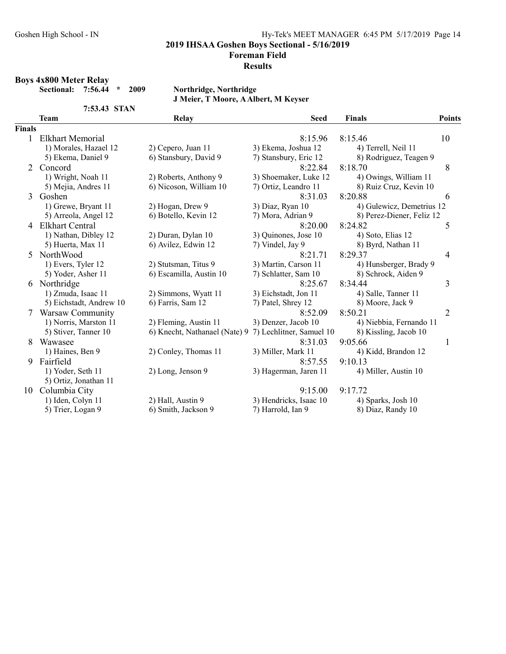2019 IHSAA Goshen Boys Sectional - 5/16/2019

Foreman Field

#### Results

#### Boys 4x800 Meter Relay

Sectional: 7:56.44 \* 2009 Northridge, Northridge

7:53.43 STAN

J Meier, T Moore, A Albert, M Keyser

|                       | <b>Team</b>             | <b>Relay</b>                  | <b>Seed</b>              | <b>Finals</b>             | <b>Points</b>  |
|-----------------------|-------------------------|-------------------------------|--------------------------|---------------------------|----------------|
| <b>Finals</b>         |                         |                               |                          |                           |                |
|                       | <b>Elkhart Memorial</b> |                               | 8:15.96                  | 8:15.46                   | 10             |
|                       | 1) Morales, Hazael 12   | 2) Cepero, Juan 11            | 3) Ekema, Joshua 12      | 4) Terrell, Neil 11       |                |
|                       | 5) Ekema, Daniel 9      | 6) Stansbury, David 9         | 7) Stansbury, Eric 12    | 8) Rodriguez, Teagen 9    |                |
| $\mathcal{D}_{\cdot}$ | Concord                 |                               | 8:22.84                  | 8:18.70                   | 8              |
|                       | 1) Wright, Noah 11      | 2) Roberts, Anthony 9         | 3) Shoemaker, Luke 12    | 4) Owings, William 11     |                |
|                       | 5) Mejia, Andres 11     | 6) Nicoson, William 10        | 7) Ortiz, Leandro 11     | 8) Ruiz Cruz, Kevin 10    |                |
| 3                     | Goshen                  |                               | 8:31.03                  | 8:20.88                   | 6              |
|                       | 1) Grewe, Bryant 11     | 2) Hogan, Drew 9              | 3) Diaz, Ryan 10         | 4) Gulewicz, Demetrius 12 |                |
|                       | 5) Arreola, Angel 12    | 6) Botello, Kevin 12          | 7) Mora, Adrian 9        | 8) Perez-Diener, Feliz 12 |                |
| 4                     | <b>Elkhart Central</b>  |                               | 8:20.00                  | 8:24.82                   | 5              |
|                       | 1) Nathan, Dibley 12    | 2) Duran, Dylan 10            | 3) Quinones, Jose 10     | 4) Soto, Elias 12         |                |
|                       | 5) Huerta, Max 11       | 6) Avilez, Edwin 12           | 7) Vindel, Jay 9         | 8) Byrd, Nathan 11        |                |
| 5                     | NorthWood               |                               | 8:21.71                  | 8:29.37                   | 4              |
|                       | 1) Evers, Tyler 12      | 2) Stutsman, Titus 9          | 3) Martin, Carson 11     | 4) Hunsberger, Brady 9    |                |
|                       | 5) Yoder, Asher 11      | 6) Escamilla, Austin 10       | 7) Schlatter, Sam 10     | 8) Schrock, Aiden 9       |                |
|                       | 6 Northridge            |                               | 8:25.67                  | 8:34.44                   | 3              |
|                       | 1) Zmuda, Isaac 11      | 2) Simmons, Wyatt 11          | 3) Eichstadt, Jon 11     | 4) Salle, Tanner 11       |                |
|                       | 5) Eichstadt, Andrew 10 | 6) Farris, Sam 12             | 7) Patel, Shrey 12       | 8) Moore, Jack 9          |                |
| 7                     | Warsaw Community        |                               | 8:52.09                  | 8:50.21                   | $\overline{2}$ |
|                       | 1) Norris, Marston 11   | 2) Fleming, Austin 11         | 3) Denzer, Jacob 10      | 4) Niebbia, Fernando 11   |                |
|                       | 5) Stiver, Tanner 10    | 6) Knecht, Nathanael (Nate) 9 | 7) Lechlitner, Samuel 10 | 8) Kissling, Jacob 10     |                |
| 8                     | Wawasee                 |                               | 8:31.03                  | 9:05.66                   | $\mathbf{1}$   |
|                       | 1) Haines, Ben 9        | 2) Conley, Thomas 11          | 3) Miller, Mark 11       | 4) Kidd, Brandon 12       |                |
| 9                     | Fairfield               |                               | 8:57.55                  | 9:10.13                   |                |
|                       | 1) Yoder, Seth 11       | 2) Long, Jenson 9             | 3) Hagerman, Jaren 11    | 4) Miller, Austin 10      |                |
|                       | 5) Ortiz, Jonathan 11   |                               |                          |                           |                |
| 10                    | Columbia City           |                               | 9:15.00                  | 9:17.72                   |                |
|                       | 1) Iden, Colyn 11       | 2) Hall, Austin 9             | 3) Hendricks, Isaac 10   | 4) Sparks, Josh 10        |                |
|                       | 5) Trier, Logan 9       | 6) Smith, Jackson 9           | 7) Harrold, Ian 9        | 8) Diaz, Randy 10         |                |
|                       |                         |                               |                          |                           |                |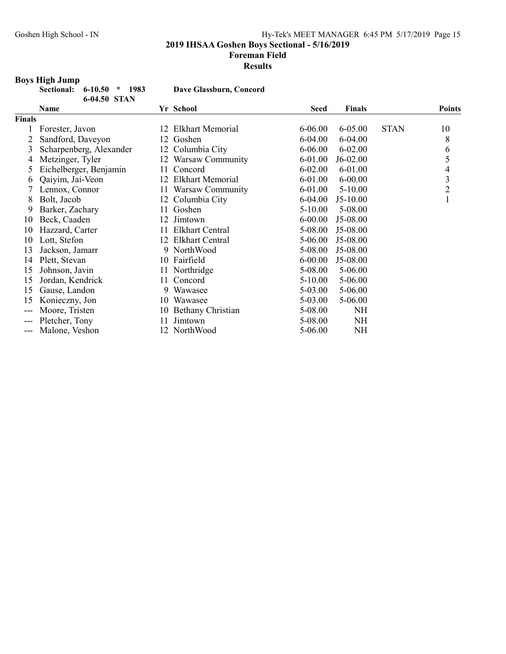2019 IHSAA Goshen Boys Sectional - 5/16/2019

#### Foreman Field

#### Results

# Boys High Jump

| ______<br>Sectional: 6-10.50 * 1983 |              |  |
|-------------------------------------|--------------|--|
|                                     | 6-04.50 STAN |  |

Dave Glassburn, Concord

| Name                    |                                                                                 |                         | <b>Seed</b>                                                                                                                                                                                                                            | <b>Finals</b> |             | <b>Points</b>  |
|-------------------------|---------------------------------------------------------------------------------|-------------------------|----------------------------------------------------------------------------------------------------------------------------------------------------------------------------------------------------------------------------------------|---------------|-------------|----------------|
|                         |                                                                                 |                         |                                                                                                                                                                                                                                        |               |             |                |
| Forester, Javon         |                                                                                 | Elkhart Memorial        | 6-06.00                                                                                                                                                                                                                                | 6-05.00       | <b>STAN</b> | 10             |
| Sandford, Daveyon       |                                                                                 |                         | 6-04.00                                                                                                                                                                                                                                | 6-04.00       |             | 8              |
| Scharpenberg, Alexander |                                                                                 | Columbia City           | $6 - 06.00$                                                                                                                                                                                                                            | $6 - 02.00$   |             | 6              |
| Metzinger, Tyler        |                                                                                 |                         | $6 - 01.00$                                                                                                                                                                                                                            | $J6-02.00$    |             | 5              |
| Eichelberger, Benjamin  |                                                                                 | Concord                 | $6 - 02.00$                                                                                                                                                                                                                            | 6-01.00       |             | 4              |
| Qaiyim, Jai-Veon        | 12                                                                              | <b>Elkhart Memorial</b> | 6-01.00                                                                                                                                                                                                                                | $6 - 00.00$   |             | 3              |
| Lennox, Connor          |                                                                                 |                         | 6-01.00                                                                                                                                                                                                                                | $5 - 10.00$   |             | $\overline{2}$ |
| Bolt, Jacob             |                                                                                 |                         | 6-04.00                                                                                                                                                                                                                                | $J5-10.00$    |             |                |
| Barker, Zachary         | 11                                                                              | Goshen                  | 5-10.00                                                                                                                                                                                                                                | 5-08.00       |             |                |
| Beck, Caaden            |                                                                                 | Jimtown                 | $6 - 00.00$                                                                                                                                                                                                                            | J5-08.00      |             |                |
| Hazzard, Carter         |                                                                                 | <b>Elkhart Central</b>  | 5-08.00                                                                                                                                                                                                                                | J5-08.00      |             |                |
| Lott, Stefon            |                                                                                 | <b>Elkhart Central</b>  | 5-06.00                                                                                                                                                                                                                                | J5-08.00      |             |                |
| Jackson, Jamarr         |                                                                                 |                         | 5-08.00                                                                                                                                                                                                                                | $J5-08.00$    |             |                |
|                         |                                                                                 |                         | $6 - 00.00$                                                                                                                                                                                                                            | J5-08.00      |             |                |
| Johnson, Javin          |                                                                                 |                         | 5-08.00                                                                                                                                                                                                                                | 5-06.00       |             |                |
|                         | 11                                                                              | Concord                 | 5-10.00                                                                                                                                                                                                                                | 5-06.00       |             |                |
| Gause, Landon           | 9.                                                                              | Wawasee                 | 5-03.00                                                                                                                                                                                                                                | 5-06.00       |             |                |
|                         |                                                                                 |                         | 5-03.00                                                                                                                                                                                                                                |               |             |                |
| Moore, Tristen          |                                                                                 |                         | 5-08.00                                                                                                                                                                                                                                | <b>NH</b>     |             |                |
|                         | 11                                                                              | Jimtown                 | 5-08.00                                                                                                                                                                                                                                | NH            |             |                |
| Malone, Veshon          |                                                                                 |                         | 5-06.00                                                                                                                                                                                                                                | <b>NH</b>     |             |                |
|                         | Finals<br>Plett, Stevan<br>Jordan, Kendrick<br>Konieczny, Jon<br>Pletcher, Tony |                         | Yr School<br>12<br>12 Goshen<br>12<br>12 Warsaw Community<br>11<br>11 Warsaw Community<br>12 Columbia City<br>12<br>12<br>9 NorthWood<br>10 Fairfield<br>11 Northridge<br>10 Wawasee<br><b>Bethany Christian</b><br>10<br>12 NorthWood |               | 5-06.00     |                |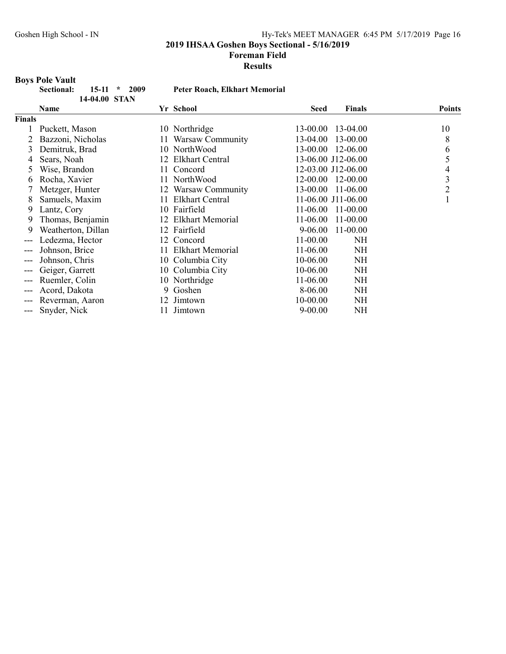2019 IHSAA Goshen Boys Sectional - 5/16/2019

#### Foreman Field

Results

# **Boys Pole Vault**

|               | DOVS FUIT VAUIT                        |     |                                      |             |                    |                |
|---------------|----------------------------------------|-----|--------------------------------------|-------------|--------------------|----------------|
|               | 2009<br>Sectional:<br>15-11<br>$\star$ |     | <b>Peter Roach, Elkhart Memorial</b> |             |                    |                |
|               | 14-04.00 STAN                          |     |                                      |             |                    |                |
|               | Name                                   |     | Yr School                            | <b>Seed</b> | <b>Finals</b>      | <b>Points</b>  |
| <b>Finals</b> |                                        |     |                                      |             |                    |                |
|               | Puckett, Mason                         |     | 10 Northridge                        | 13-00.00    | 13-04.00           | 10             |
|               | Bazzoni, Nicholas                      | 11  | Warsaw Community                     | 13-04.00    | 13-00.00           | 8              |
| 3             | Demitruk, Brad                         |     | 10 NorthWood                         | 13-00.00    | 12-06.00           | 6              |
| 4             | Sears, Noah                            | 12  | <b>Elkhart Central</b>               |             | 13-06.00 J12-06.00 | 5              |
| 5             | Wise, Brandon                          | 11. | Concord                              |             | 12-03.00 J12-06.00 | 4              |
| 6             | Rocha, Xavier                          |     | 11 NorthWood                         |             | 12-00.00 12-00.00  | 3              |
|               | Metzger, Hunter                        | 12  | Warsaw Community                     | 13-00.00    | 11-06.00           | $\overline{2}$ |
| 8             | Samuels, Maxim                         | 11  | Elkhart Central                      |             | 11-06.00 J11-06.00 | $\mathbf{1}$   |
| 9             | Lantz, Cory                            |     | 10 Fairfield                         | 11-06.00    | $11-00.00$         |                |
| 9             | Thomas, Benjamin                       | 12  | <b>Elkhart Memorial</b>              | 11-06.00    | 11-00.00           |                |
| 9             | Weatherton, Dillan                     |     | 12 Fairfield                         | 9-06.00     | 11-00.00           |                |
| $---$         | Ledezma, Hector                        | 12  | Concord                              | 11-00.00    | NH                 |                |
| $---$         | Johnson, Brice                         | 11  | <b>Elkhart Memorial</b>              | 11-06.00    | <b>NH</b>          |                |
| $---$         | Johnson, Chris                         |     | 10 Columbia City                     | 10-06.00    | <b>NH</b>          |                |
| ---           | Geiger, Garrett                        |     | 10 Columbia City                     | 10-06.00    | <b>NH</b>          |                |
| $---$         | Ruemler, Colin                         |     | 10 Northridge                        | 11-06.00    | <b>NH</b>          |                |
| $---$         | Acord, Dakota                          | 9   | Goshen                               | 8-06.00     | NH                 |                |
| $---$         | Reverman, Aaron                        | 12  | Jimtown                              | 10-00.00    | <b>NH</b>          |                |
| ---           | Snyder, Nick                           | 11  | Jimtown                              | $9 - 00.00$ | <b>NH</b>          |                |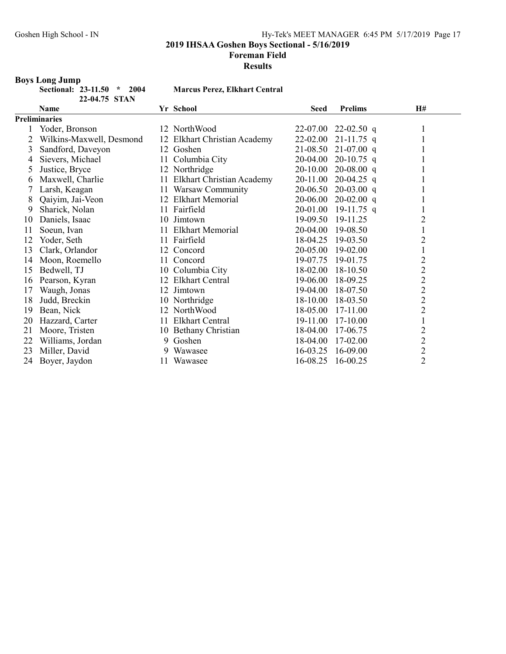# Foreman Field

Results

# Boys Long Jump

| tional: 23-11.50 | $*$ 2004 |
|------------------|----------|
| 22-04.75 STAN    |          |

#### 4 Marcus Perez, Elkhart Central

|    | Name                     |     | Yr School                    | <b>Seed</b> | <b>Prelims</b> | <b>H#</b>      |
|----|--------------------------|-----|------------------------------|-------------|----------------|----------------|
|    | <b>Preliminaries</b>     |     |                              |             |                |                |
|    | Yoder, Bronson           |     | 12 NorthWood                 | 22-07.00    | 22-02.50 q     |                |
| 2  | Wilkins-Maxwell, Desmond |     | 12 Elkhart Christian Academy | 22-02.00    | $21 - 11.75$ q |                |
| 3  | Sandford, Daveyon        |     | 12 Goshen                    | 21-08.50    | $21-07.00$ q   |                |
| 4  | Sievers, Michael         | 11  | Columbia City                | 20-04.00    | $20-10.75$ q   |                |
| 5  | Justice, Bryce           |     | 12 Northridge                | 20-10.00    | $20-08.00$ q   |                |
| 6  | Maxwell, Charlie         | 11  | Elkhart Christian Academy    | 20-11.00    | $20-04.25$ q   |                |
|    | Larsh, Keagan            | 11. | Warsaw Community             | 20-06.50    | $20-03.00$ q   |                |
| 8  | Qaiyim, Jai-Veon         |     | 12 Elkhart Memorial          | 20-06.00    | $20-02.00$ q   |                |
| 9  | Sharick, Nolan           | 11  | Fairfield                    | 20-01.00    | $19-11.75$ q   |                |
| 10 | Daniels, Isaac           |     | 10 Jimtown                   | 19-09.50    | 19-11.25       | $\overline{c}$ |
| 11 | Soeun, Ivan              | 11  | <b>Elkhart Memorial</b>      | 20-04.00    | 19-08.50       |                |
| 12 | Yoder, Seth              | 11. | Fairfield                    | 18-04.25    | 19-03.50       | 2              |
| 13 | Clark, Orlandor          | 12  | Concord                      | 20-05.00    | 19-02.00       |                |
| 14 | Moon, Roemello           | 11  | Concord                      | 19-07.75    | 19-01.75       | $\overline{c}$ |
| 15 | Bedwell, TJ              | 10  | Columbia City                | 18-02.00    | 18-10.50       | $\overline{c}$ |
| 16 | Pearson, Kyran           | 12  | <b>Elkhart Central</b>       | 19-06.00    | 18-09.25       | $\overline{c}$ |
| 17 | Waugh, Jonas             |     | 12 Jimtown                   | 19-04.00    | 18-07.50       | $\overline{c}$ |
| 18 | Judd, Breckin            |     | 10 Northridge                | 18-10.00    | 18-03.50       | $\overline{c}$ |
| 19 | Bean, Nick               |     | 12 NorthWood                 | 18-05.00    | 17-11.00       | $\overline{c}$ |
| 20 | Hazzard, Carter          | 11  | <b>Elkhart Central</b>       | 19-11.00    | 17-10.00       |                |
| 21 | Moore, Tristen           |     | 10 Bethany Christian         | 18-04.00    | 17-06.75       | $\overline{c}$ |
| 22 | Williams, Jordan         | 9   | Goshen                       | 18-04.00    | 17-02.00       | $\overline{c}$ |
| 23 | Miller, David            | 9   | Wawasee                      | 16-03.25    | 16-09.00       | $\overline{c}$ |
| 24 | Boyer, Jaydon            | 11  | Wawasee                      | 16-08.25    | 16-00.25       | $\overline{2}$ |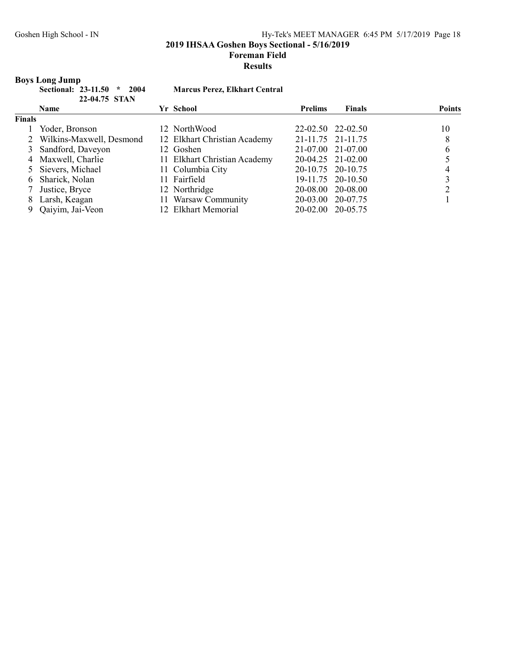2019 IHSAA Goshen Boys Sectional - 5/16/2019

# Foreman Field

#### Results

# Boys Long Jump

| Sectional: 23-11.50 * 2004 |               |  |
|----------------------------|---------------|--|
|                            | 22-04.75 STAN |  |

# Marcus Perez, Elkhart Central

|               | <b>Name</b>                | Yr School                    | <b>Prelims</b> | <b>Finals</b>     | <b>Points</b> |
|---------------|----------------------------|------------------------------|----------------|-------------------|---------------|
| <b>Finals</b> |                            |                              |                |                   |               |
|               | Yoder, Bronson             | 12 NorthWood                 |                | 22-02.50 22-02.50 | 10            |
|               | 2 Wilkins-Maxwell, Desmond | 12 Elkhart Christian Academy |                | 21-11.75 21-11.75 | 8             |
|               | 3 Sandford, Daveyon        | 12 Goshen                    |                | 21-07.00 21-07.00 | 6             |
|               | 4 Maxwell, Charlie         | 11 Elkhart Christian Academy |                | 20-04.25 21-02.00 |               |
|               | 5 Sievers, Michael         | 11 Columbia City             |                | 20-10.75 20-10.75 |               |
|               | 6 Sharick, Nolan           | 11 Fairfield                 |                | 19-11.75 20-10.50 |               |
|               | 7 Justice, Bryce           | 12 Northridge                |                | 20-08.00 20-08.00 |               |
|               | 8 Larsh, Keagan            | 11 Warsaw Community          |                | 20-03.00 20-07.75 |               |
|               | Qaiyim, Jai-Veon           | 12 Elkhart Memorial          |                | 20-02.00 20-05.75 |               |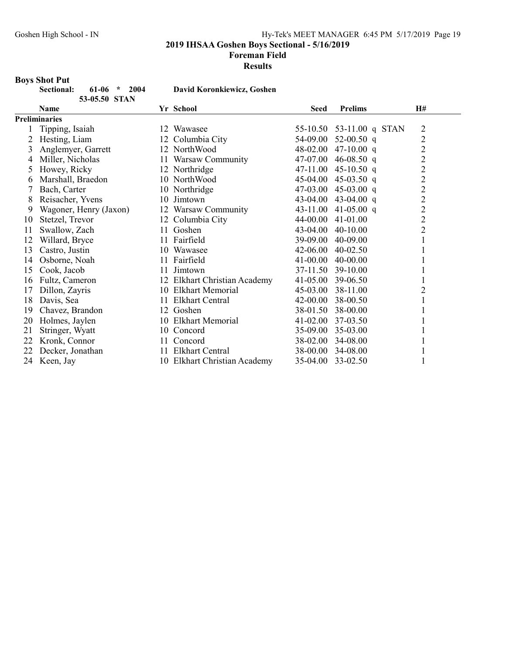2019 IHSAA Goshen Boys Sectional - 5/16/2019

#### Foreman Field

Results

# Boys Shot Put

| Sectional: | $61-06$ * 2004 |  |
|------------|----------------|--|
|            | 53-05.50 STAN  |  |

David Koronkiewicz, Goshen

|    | <b>Name</b>            |    | Yr School                    | <b>Seed</b>  | <b>Prelims</b>           | H#             |
|----|------------------------|----|------------------------------|--------------|--------------------------|----------------|
|    | <b>Preliminaries</b>   |    |                              |              |                          |                |
|    | Tipping, Isaiah        |    | 12 Wawasee                   |              | 55-10.50 53-11.00 q STAN | $\overline{2}$ |
| 2  | Hesting, Liam          |    | 12 Columbia City             | 54-09.00     | 52-00.50 q               | $\overline{c}$ |
| 3  | Anglemyer, Garrett     |    | 12 NorthWood                 | 48-02.00     | 47-10.00 q               | $\overline{c}$ |
| 4  | Miller, Nicholas       |    | 11 Warsaw Community          | 47-07.00     | 46-08.50 q               | $\overline{c}$ |
| 5  | Howey, Ricky           |    | 12 Northridge                | 47-11.00     | 45-10.50 q               | $\overline{c}$ |
| 6  | Marshall, Braedon      |    | 10 NorthWood                 | 45-04.00     | 45-03.50 q               | $\overline{c}$ |
|    | Bach, Carter           |    | 10 Northridge                | 47-03.00     | 45-03.00 q               | $\overline{2}$ |
| 8  | Reisacher, Yvens       |    | 10 Jimtown                   | 43-04.00     | 43-04.00 q               | $\overline{c}$ |
| 9  | Wagoner, Henry (Jaxon) |    | 12 Warsaw Community          | 43-11.00     | 41-05.00 $q$             | $\overline{c}$ |
| 10 | Stetzel, Trevor        |    | 12 Columbia City             | 44-00.00     | 41-01.00                 | $\overline{c}$ |
| 11 | Swallow, Zach          | 11 | Goshen                       | 43-04.00     | $40-10.00$               | $\overline{2}$ |
| 12 | Willard, Bryce         |    | 11 Fairfield                 | 39-09.00     | 40-09.00                 |                |
| 13 | Castro, Justin         | 10 | Wawasee                      | 42-06.00     | 40-02.50                 |                |
| 14 | Osborne, Noah          |    | 11 Fairfield                 | $41 - 00.00$ | 40-00.00                 |                |
| 15 | Cook, Jacob            | 11 | Jimtown                      | 37-11.50     | 39-10.00                 |                |
| 16 | Fultz, Cameron         |    | 12 Elkhart Christian Academy | 41-05.00     | 39-06.50                 |                |
| 17 | Dillon, Zayris         |    | 10 Elkhart Memorial          | 45-03.00     | 38-11.00                 | 2              |
| 18 | Davis, Sea             | 11 | <b>Elkhart Central</b>       | 42-00.00     | 38-00.50                 |                |
| 19 | Chavez, Brandon        |    | 12 Goshen                    | 38-01.50     | 38-00.00                 |                |
| 20 | Holmes, Jaylen         |    | 10 Elkhart Memorial          | 41-02.00     | 37-03.50                 |                |
| 21 | Stringer, Wyatt        |    | 10 Concord                   | 35-09.00     | 35-03.00                 |                |
| 22 | Kronk, Connor          |    | 11 Concord                   | 38-02.00     | 34-08.00                 |                |
| 22 | Decker, Jonathan       | 11 | <b>Elkhart Central</b>       | 38-00.00     | 34-08.00                 |                |
| 24 | Keen, Jay              |    | 10 Elkhart Christian Academy | 35-04.00     | 33-02.50                 |                |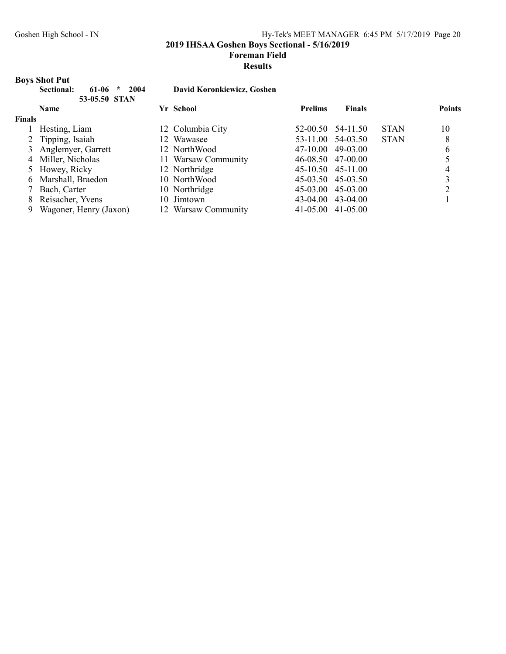2019 IHSAA Goshen Boys Sectional - 5/16/2019

#### Foreman Field

#### Results

# Boys Shot Put

|               | 2004<br>Sectional:<br>61-06<br>$\star$<br>53-05.50 STAN |     | David Koronkiewicz, Goshen |                |                   |             |               |
|---------------|---------------------------------------------------------|-----|----------------------------|----------------|-------------------|-------------|---------------|
|               | <b>Name</b>                                             |     | Yr School                  | <b>Prelims</b> | <b>Finals</b>     |             | <b>Points</b> |
| <b>Finals</b> |                                                         |     |                            |                |                   |             |               |
|               | Hesting, Liam                                           |     | 12 Columbia City           |                | 52-00.50 54-11.50 | <b>STAN</b> | 10            |
|               | 2 Tipping, Isaiah                                       |     | 12 Wawasee                 |                | 53-11.00 54-03.50 | <b>STAN</b> | 8             |
|               | 3 Anglemyer, Garrett                                    |     | 12 NorthWood               | 47-10.00       | 49-03.00          |             | 6             |
|               | 4 Miller, Nicholas                                      |     | 11 Warsaw Community        |                | 46-08.50 47-00.00 |             |               |
|               | 5 Howey, Ricky                                          |     | 12 Northridge              |                | 45-10.50 45-11.00 |             |               |
| 6.            | Marshall, Braedon                                       |     | 10 NorthWood               |                | 45-03.50 45-03.50 |             | 3             |
|               | Bach, Carter                                            |     | 10 Northridge              |                | 45-03.00 45-03.00 |             | ↑             |
| 8             | Reisacher, Yvens                                        | 10. | Jimtown                    |                | 43-04.00 43-04.00 |             |               |
| 9             | Wagoner, Henry (Jaxon)                                  |     | 12 Warsaw Community        | 41-05.00       | $41 - 05.00$      |             |               |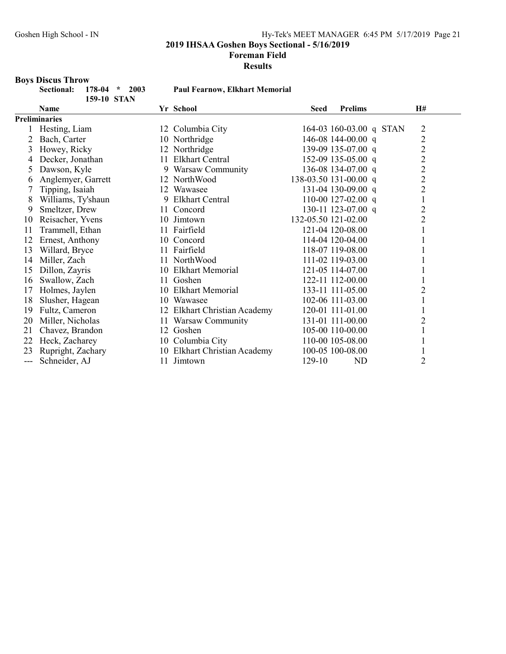#### Foreman Field

#### Results

#### Boys Discus Throw

| Sectional: 178-04 * 2003 |             |  |
|--------------------------|-------------|--|
|                          | 159-10 STAN |  |
|                          |             |  |

Paul Fearnow, Elkhart Memorial

|     | <b>Name</b>          |    | Yr School                    | <b>Seed</b>         | <b>Prelims</b>          | H#             |
|-----|----------------------|----|------------------------------|---------------------|-------------------------|----------------|
|     | <b>Preliminaries</b> |    |                              |                     |                         |                |
|     | Hesting, Liam        |    | 12 Columbia City             |                     | 164-03 160-03.00 q STAN | $\overline{2}$ |
| 2   | Bach, Carter         |    | 10 Northridge                |                     | 146-08 144-00.00 q      | $\overline{c}$ |
| 3   | Howey, Ricky         |    | 12 Northridge                |                     | 139-09 135-07.00 q      | $\overline{c}$ |
| 4   | Decker, Jonathan     | 11 | <b>Elkhart Central</b>       |                     | 152-09 135-05.00 q      | $\overline{c}$ |
| 5   | Dawson, Kyle         |    | 9 Warsaw Community           |                     | 136-08 134-07.00 q      | $\overline{c}$ |
| 6   | Anglemyer, Garrett   |    | 12 NorthWood                 |                     | 138-03.50 131-00.00 q   | $\overline{c}$ |
|     | Tipping, Isaiah      | 12 | Wawasee                      |                     | 131-04 130-09.00 q      | $\overline{c}$ |
| 8   | Williams, Ty'shaun   | 9  | Elkhart Central              |                     | 110-00 127-02.00 q      | 1              |
| 9   | Smeltzer, Drew       | 11 | Concord                      |                     | 130-11 123-07.00 q      | 2              |
| 10  | Reisacher, Yvens     |    | 10 Jimtown                   | 132-05.50 121-02.00 |                         | $\overline{c}$ |
| 11  | Trammell, Ethan      | 11 | Fairfield                    |                     | 121-04 120-08.00        |                |
| 12  | Ernest, Anthony      |    | 10 Concord                   |                     | 114-04 120-04.00        |                |
| 13  | Willard, Bryce       |    | 11 Fairfield                 |                     | 118-07 119-08.00        |                |
| 14  | Miller, Zach         |    | 11 NorthWood                 |                     | 111-02 119-03.00        |                |
| 15  | Dillon, Zayris       |    | 10 Elkhart Memorial          |                     | 121-05 114-07.00        |                |
| 16  | Swallow, Zach        | 11 | Goshen                       |                     | 122-11 112-00.00        |                |
| 17  | Holmes, Jaylen       |    | 10 Elkhart Memorial          |                     | 133-11 111-05.00        | 2              |
| 18  | Slusher, Hagean      | 10 | Wawasee                      |                     | 102-06 111-03.00        |                |
| 19  | Fultz, Cameron       |    | 12 Elkhart Christian Academy |                     | 120-01 111-01.00        |                |
| 20  | Miller, Nicholas     | 11 | Warsaw Community             |                     | 131-01 111-00.00        | 2              |
| 21  | Chavez, Brandon      | 12 | Goshen                       |                     | 105-00 110-00.00        |                |
| 22  | Heck, Zacharey       |    | 10 Columbia City             |                     | 110-00 105-08.00        |                |
| 23  | Rupright, Zachary    |    | 10 Elkhart Christian Academy |                     | 100-05 100-08.00        |                |
| --- | Schneider, AJ        | 11 | Jimtown                      | 129-10              | ND                      | 2              |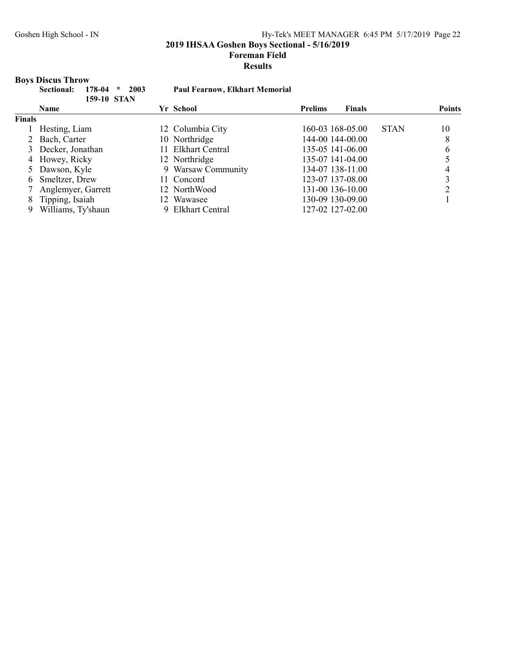2019 IHSAA Goshen Boys Sectional - 5/16/2019

#### Foreman Field

#### Results

# Boys Discus Throw

|               | 178-04<br>2003<br>Sectional:<br>$\star$<br>159-10 STAN | <b>Paul Fearnow, Elkhart Memorial</b> |                                 |               |
|---------------|--------------------------------------------------------|---------------------------------------|---------------------------------|---------------|
|               | <b>Name</b>                                            | Yr School                             | <b>Finals</b><br><b>Prelims</b> | <b>Points</b> |
| <b>Finals</b> |                                                        |                                       |                                 |               |
|               | Hesting, Liam                                          | 12 Columbia City                      | 160-03 168-05.00<br><b>STAN</b> | 10            |
|               | 2 Bach, Carter                                         | 10 Northridge                         | 144-00 144-00.00                | 8             |
|               | 3 Decker, Jonathan                                     | <b>Elkhart Central</b><br>11.         | 135-05 141-06.00                | 6             |
|               | 4 Howey, Ricky                                         | 12 Northridge                         | 135-07 141-04.00                |               |
|               | 5 Dawson, Kyle                                         | 9 Warsaw Community                    | 134-07 138-11.00                | 4             |
| 6.            | Smeltzer, Drew                                         | 11 Concord                            | 123-07 137-08.00                |               |
|               | Anglemyer, Garrett                                     | 12 NorthWood                          | 131-00 136-10.00                |               |
| 8             | Tipping, Isaiah                                        | 12 Wawasee                            | 130-09 130-09.00                |               |
| 9             | Williams, Ty'shaun                                     | Elkhart Central<br>9.                 | 127-02 127-02.00                |               |